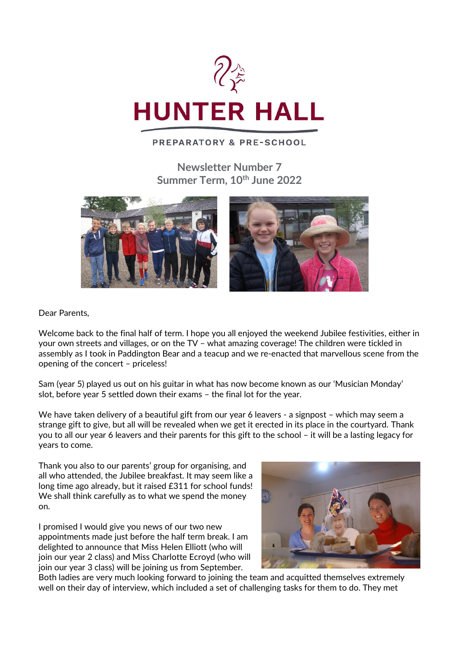

## **PREPARATORY & PRE-SCHOOL**

**Newsletter Number 7 Summer Term, 10th June 2022**



Dear Parents,

Welcome back to the final half of term. I hope you all enjoyed the weekend Jubilee festivities, either in your own streets and villages, or on the TV – what amazing coverage! The children were tickled in assembly as I took in Paddington Bear and a teacup and we re-enacted that marvellous scene from the opening of the concert – priceless!

Sam (year 5) played us out on his guitar in what has now become known as our 'Musician Monday' slot, before year 5 settled down their exams – the final lot for the year.

We have taken delivery of a beautiful gift from our year 6 leavers - a signpost – which may seem a strange gift to give, but all will be revealed when we get it erected in its place in the courtyard. Thank you to all our year 6 leavers and their parents for this gift to the school – it will be a lasting legacy for years to come.

Thank you also to our parents' group for organising, and all who attended, the Jubilee breakfast. It may seem like a long time ago already, but it raised £311 for school funds! We shall think carefully as to what we spend the money on.

I promised I would give you news of our two new appointments made just before the half term break. I am delighted to announce that Miss Helen Elliott (who will join our year 2 class) and Miss Charlotte Ecroyd (who will join our year 3 class) will be joining us from September.



Both ladies are very much looking forward to joining the team and acquitted themselves extremely well on their day of interview, which included a set of challenging tasks for them to do. They met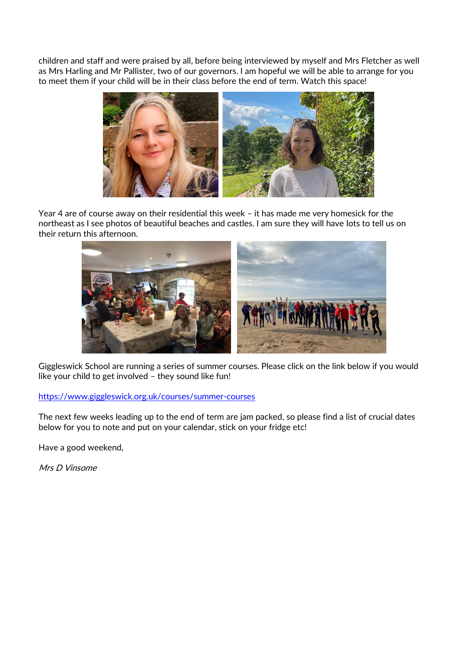children and staff and were praised by all, before being interviewed by myself and Mrs Fletcher as well as Mrs Harling and Mr Pallister, two of our governors. I am hopeful we will be able to arrange for you to meet them if your child will be in their class before the end of term. Watch this space!



Year 4 are of course away on their residential this week – it has made me very homesick for the northeast as I see photos of beautiful beaches and castles. I am sure they will have lots to tell us on their return this afternoon.



Giggleswick School are running a series of summer courses. Please click on the link below if you would like your child to get involved – they sound like fun!

### <https://www.giggleswick.org.uk/courses/summer-courses>

The next few weeks leading up to the end of term are jam packed, so please find a list of crucial dates below for you to note and put on your calendar, stick on your fridge etc!

Have a good weekend,

Mrs D Vinsome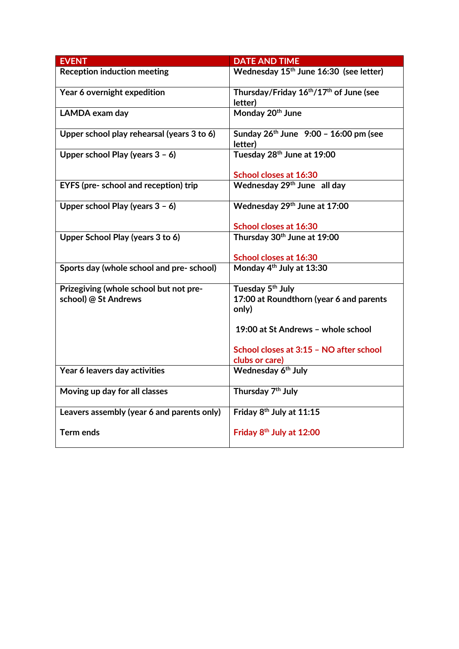| <b>EVENT</b>                               | <b>DATE AND TIME</b>                                                       |
|--------------------------------------------|----------------------------------------------------------------------------|
| <b>Reception induction meeting</b>         | Wednesday 15 <sup>th</sup> June 16:30 (see letter)                         |
| Year 6 overnight expedition                | Thursday/Friday 16 <sup>th</sup> /17 <sup>th</sup> of June (see<br>letter) |
| LAMDA exam day                             | Monday 20 <sup>th</sup> June                                               |
| Upper school play rehearsal (years 3 to 6) | Sunday 26th June 9:00 - 16:00 pm (see<br>letter)                           |
| Upper school Play (years $3 - 6$ )         | Tuesday 28th June at 19:00                                                 |
|                                            | School closes at 16:30                                                     |
| EYFS (pre- school and reception) trip      | Wednesday 29 <sup>th</sup> June all day                                    |
| Upper school Play (years $3 - 6$ )         | Wednesday 29th June at 17:00                                               |
|                                            | School closes at 16:30                                                     |
| Upper School Play (years 3 to 6)           | Thursday 30th June at 19:00                                                |
|                                            | School closes at 16:30                                                     |
| Sports day (whole school and pre- school)  | Monday 4 <sup>th</sup> July at 13:30                                       |
| Prizegiving (whole school but not pre-     | Tuesday 5 <sup>th</sup> July                                               |
| school) @ St Andrews                       | 17:00 at Roundthorn (year 6 and parents<br>only)                           |
|                                            | 19:00 at St Andrews - whole school                                         |
|                                            | School closes at 3:15 - NO after school<br>clubs or care)                  |
| Year 6 leavers day activities              | Wednesday 6 <sup>th</sup> July                                             |
| Moving up day for all classes              | Thursday 7 <sup>th</sup> July                                              |
| Leavers assembly (year 6 and parents only) | Friday 8 <sup>th</sup> July at 11:15                                       |
| <b>Term ends</b>                           | Friday 8 <sup>th</sup> July at 12:00                                       |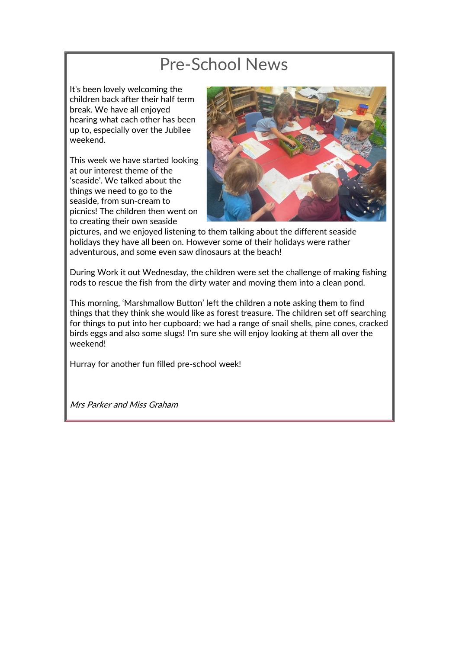# Pre-School News

It's been lovely welcoming the children back after their half term break. We have all enjoyed hearing what each other has been up to, especially over the Jubilee weekend.

This week we have started looking at our interest theme of the 'seaside'. We talked about the things we need to go to the seaside, from sun-cream to picnics! The children then went on to creating their own seaside



pictures, and we enjoyed listening to them talking about the different seaside holidays they have all been on. However some of their holidays were rather adventurous, and some even saw dinosaurs at the beach!

During Work it out Wednesday, the children were set the challenge of making fishing rods to rescue the fish from the dirty water and moving them into a clean pond.

This morning, 'Marshmallow Button' left the children a note asking them to find things that they think she would like as forest treasure. The children set off searching for things to put into her cupboard; we had a range of snail shells, pine cones, cracked birds eggs and also some slugs! I'm sure she will enjoy looking at them all over the weekend!

Hurray for another fun filled pre-school week!

Mrs Parker and Miss Graham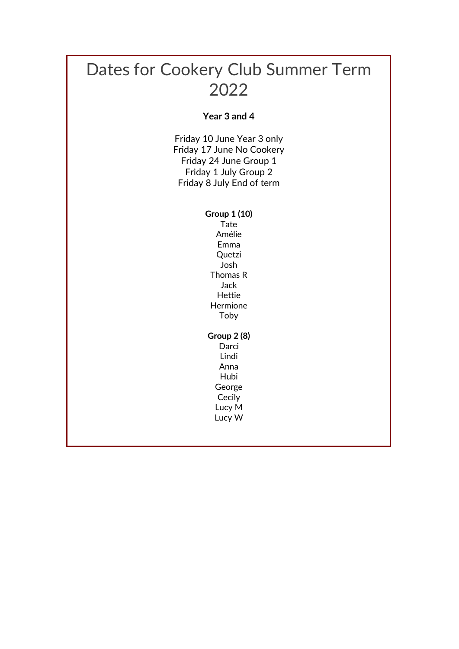# Dates for Cookery Club Summer Term 2022

## **Year 3 and 4**

Friday 10 June Year 3 only Friday 17 June No Cookery Friday 24 June Group 1 Friday 1 July Group 2 Friday 8 July End of term

> **Group 1 (10)** Tate Amélie Emma **Quetzi** Josh Thomas R Jack Hettie Hermione Toby

#### **Group 2 (8)**

Darci Lindi Anna Hubi George Cecily Lucy M

Lucy W